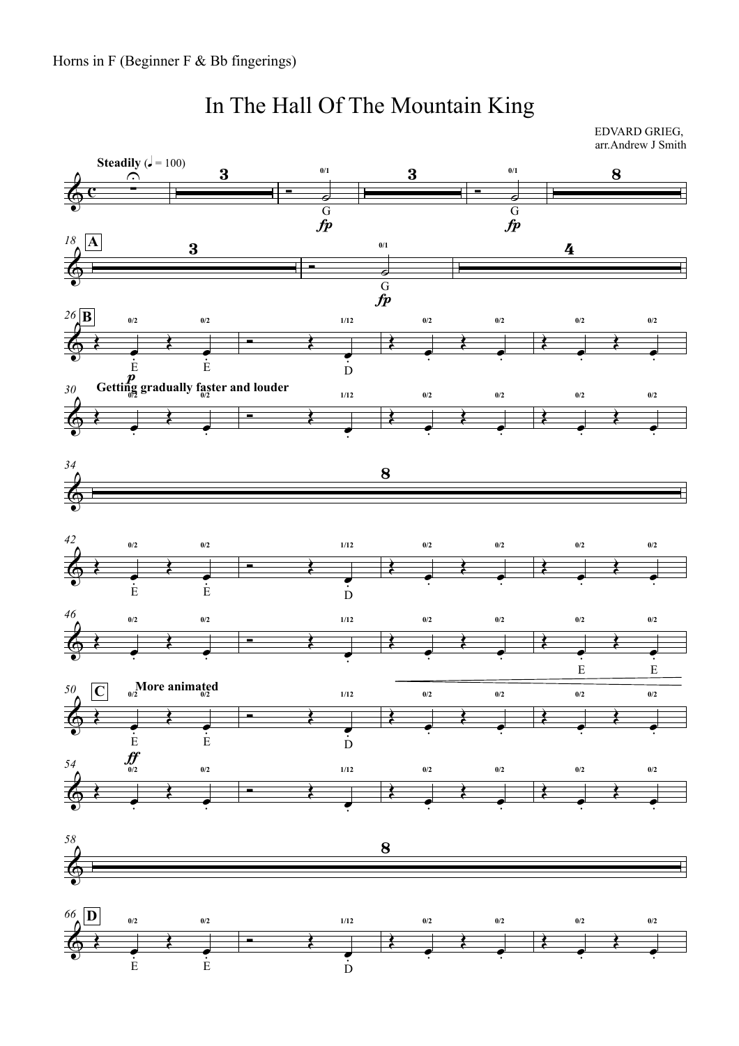## In The Hall Of The Mountain King

EDVARD GRIEG, arr.Andrew J Smith